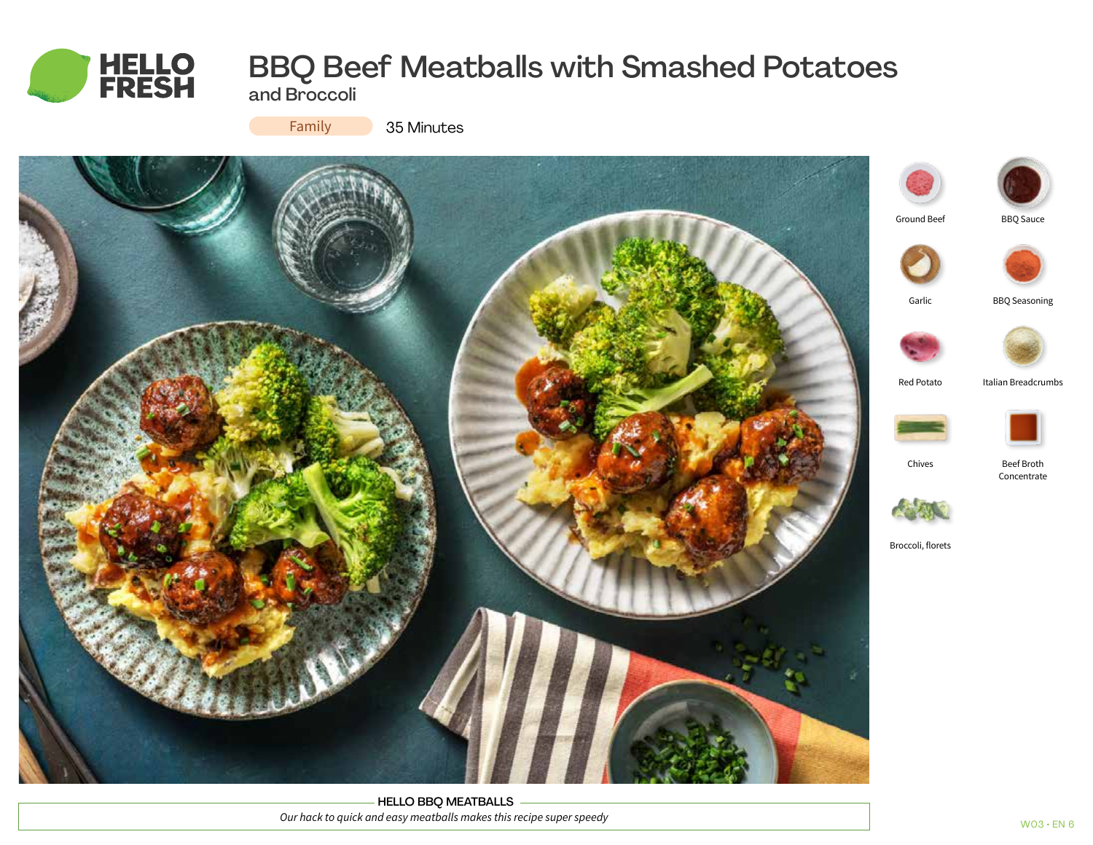

# BBQ Beef Meatballs with Smashed Potatoes

and Broccoli

Family

35 Minutes



HELLO BBQ MEATBALLS *Our hack to quick and easy meatballs makes this recipe super speedy*